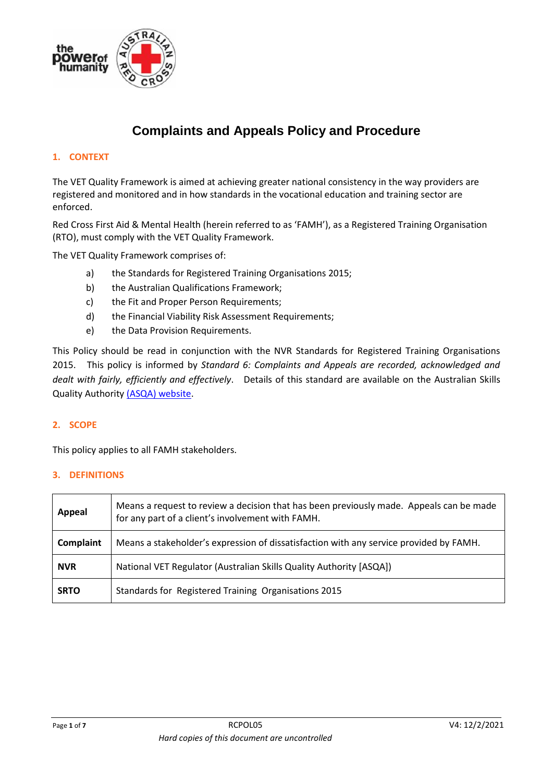

# **Complaints and Appeals Policy and Procedure**

# **1. CONTEXT**

The VET Quality Framework is aimed at achieving greater national consistency in the way providers are registered and monitored and in how standards in the vocational education and training sector are enforced.

Red Cross First Aid & Mental Health (herein referred to as 'FAMH'), as a Registered Training Organisation (RTO), must comply with the VET Quality Framework.

The VET Quality Framework comprises of:

- a) the Standards for Registered Training Organisations 2015;
- b) the Australian Qualifications Framework;
- c) the Fit and Proper Person Requirements;
- d) the Financial Viability Risk Assessment Requirements;
- e) the Data Provision Requirements.

This Policy should be read in conjunction with the NVR Standards for Registered Training Organisations 2015. This policy is informed by *Standard 6: Complaints and Appeals are recorded, acknowledged and dealt with fairly, efficiently and effectively*. Details of this standard are available on the Australian Skills Quality Authority [\(ASQA\) website.](https://www.asqa.gov.au/standards/support-progression/clauses-1.7-5.4-6.1-to-6.6)

#### **2. SCOPE**

This policy applies to all FAMH stakeholders.

#### **3. DEFINITIONS**

| Appeal      | Means a request to review a decision that has been previously made. Appeals can be made<br>for any part of a client's involvement with FAMH. |
|-------------|----------------------------------------------------------------------------------------------------------------------------------------------|
| Complaint   | Means a stakeholder's expression of dissatisfaction with any service provided by FAMH.                                                       |
| <b>NVR</b>  | National VET Regulator (Australian Skills Quality Authority [ASQA])                                                                          |
| <b>SRTO</b> | Standards for Registered Training Organisations 2015                                                                                         |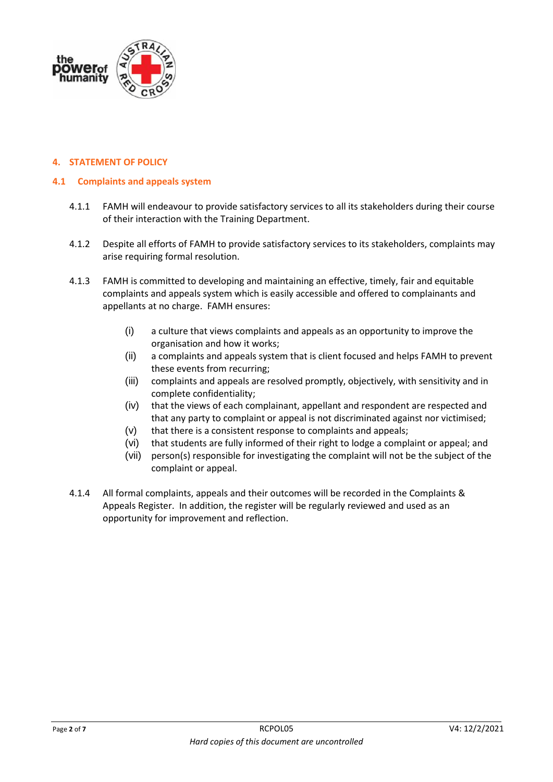

#### **4. STATEMENT OF POLICY**

#### **4.1 Complaints and appeals system**

- 4.1.1 FAMH will endeavour to provide satisfactory services to all its stakeholders during their course of their interaction with the Training Department.
- 4.1.2 Despite all efforts of FAMH to provide satisfactory services to its stakeholders, complaints may arise requiring formal resolution.
- 4.1.3 FAMH is committed to developing and maintaining an effective, timely, fair and equitable complaints and appeals system which is easily accessible and offered to complainants and appellants at no charge. FAMH ensures:
	- (i) a culture that views complaints and appeals as an opportunity to improve the organisation and how it works;
	- (ii) a complaints and appeals system that is client focused and helps FAMH to prevent these events from recurring;
	- (iii) complaints and appeals are resolved promptly, objectively, with sensitivity and in complete confidentiality;
	- (iv) that the views of each complainant, appellant and respondent are respected and that any party to complaint or appeal is not discriminated against nor victimised;
	- (v) that there is a consistent response to complaints and appeals;
	- (vi) that students are fully informed of their right to lodge a complaint or appeal; and
	- (vii) person(s) responsible for investigating the complaint will not be the subject of the complaint or appeal.
- 4.1.4 All formal complaints, appeals and their outcomes will be recorded in the Complaints & Appeals Register. In addition, the register will be regularly reviewed and used as an opportunity for improvement and reflection.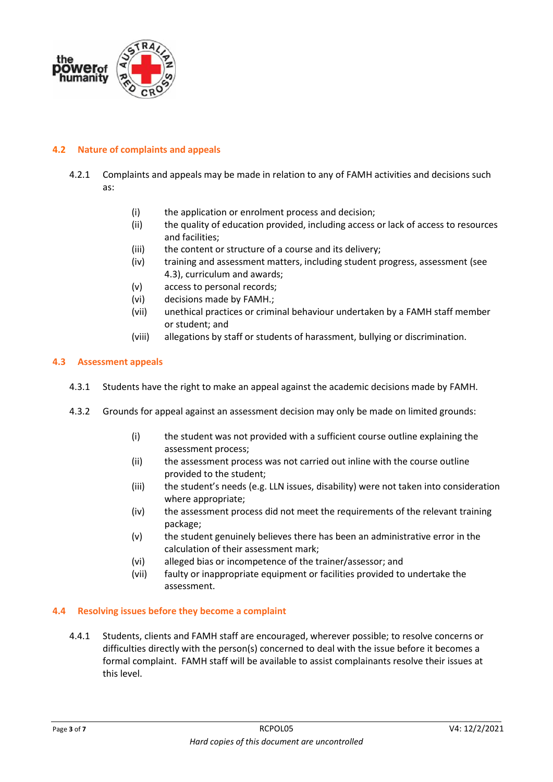

## **4.2 Nature of complaints and appeals**

- 4.2.1 Complaints and appeals may be made in relation to any of FAMH activities and decisions such as:
	- (i) the application or enrolment process and decision;
	- (ii) the quality of education provided, including access or lack of access to resources and facilities;
	- (iii) the content or structure of a course and its delivery;
	- (iv) training and assessment matters, including student progress, assessment (see 4.3), curriculum and awards;
	- (v) access to personal records;
	- (vi) decisions made by FAMH.;
	- (vii) unethical practices or criminal behaviour undertaken by a FAMH staff member or student; and
	- (viii) allegations by staff or students of harassment, bullying or discrimination.

#### **4.3 Assessment appeals**

- 4.3.1 Students have the right to make an appeal against the academic decisions made by FAMH.
- 4.3.2 Grounds for appeal against an assessment decision may only be made on limited grounds:
	- (i) the student was not provided with a sufficient course outline explaining the assessment process;
	- (ii) the assessment process was not carried out inline with the course outline provided to the student;
	- (iii) the student's needs (e.g. LLN issues, disability) were not taken into consideration where appropriate;
	- (iv) the assessment process did not meet the requirements of the relevant training package;
	- (v) the student genuinely believes there has been an administrative error in the calculation of their assessment mark;
	- (vi) alleged bias or incompetence of the trainer/assessor; and
	- (vii) faulty or inappropriate equipment or facilities provided to undertake the assessment.

#### **4.4 Resolving issues before they become a complaint**

4.4.1 Students, clients and FAMH staff are encouraged, wherever possible; to resolve concerns or difficulties directly with the person(s) concerned to deal with the issue before it becomes a formal complaint. FAMH staff will be available to assist complainants resolve their issues at this level.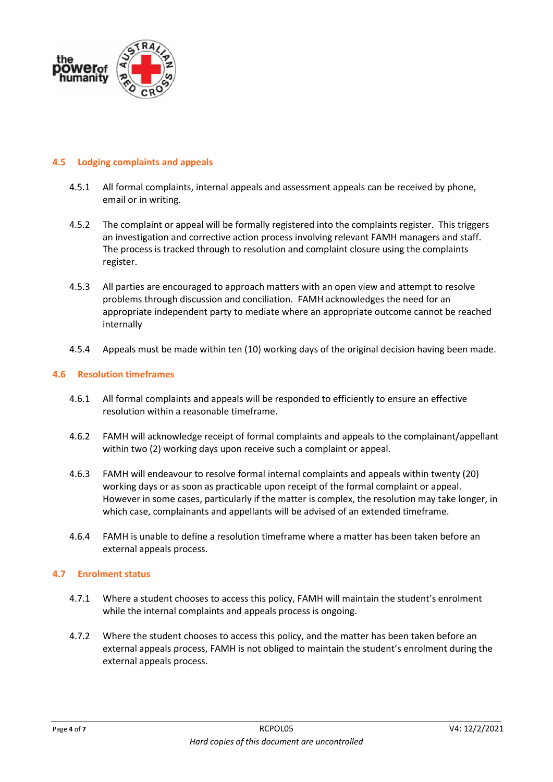

#### **4.5 Lodging complaints and appeals**

- 4.5.1 All formal complaints, internal appeals and assessment appeals can be received by phone, email or in writing.
- 4.5.2 The complaint or appeal will be formally registered into the complaints register. This triggers an investigation and corrective action process involving relevant FAMH managers and staff. The process is tracked through to resolution and complaint closure using the complaints register.
- 4.5.3 All parties are encouraged to approach matters with an open view and attempt to resolve problems through discussion and conciliation. FAMH acknowledges the need for an appropriate independent party to mediate where an appropriate outcome cannot be reached internally
- 4.5.4 Appeals must be made within ten (10) working days of the original decision having been made.

#### **4.6 Resolution timeframes**

- 4.6.1 All formal complaints and appeals will be responded to efficiently to ensure an effective resolution within a reasonable timeframe.
- 4.6.2 FAMH will acknowledge receipt of formal complaints and appeals to the complainant/appellant within two (2) working days upon receive such a complaint or appeal.
- 4.6.3 FAMH will endeavour to resolve formal internal complaints and appeals within twenty (20) working days or as soon as practicable upon receipt of the formal complaint or appeal. However in some cases, particularly if the matter is complex, the resolution may take longer, in which case, complainants and appellants will be advised of an extended timeframe.
- 4.6.4 FAMH is unable to define a resolution timeframe where a matter has been taken before an external appeals process.

#### **4.7 Enrolment status**

- 4.7.1 Where a student chooses to access this policy, FAMH will maintain the student's enrolment while the internal complaints and appeals process is ongoing.
- 4.7.2 Where the student chooses to access this policy, and the matter has been taken before an external appeals process, FAMH is not obliged to maintain the student's enrolment during the external appeals process.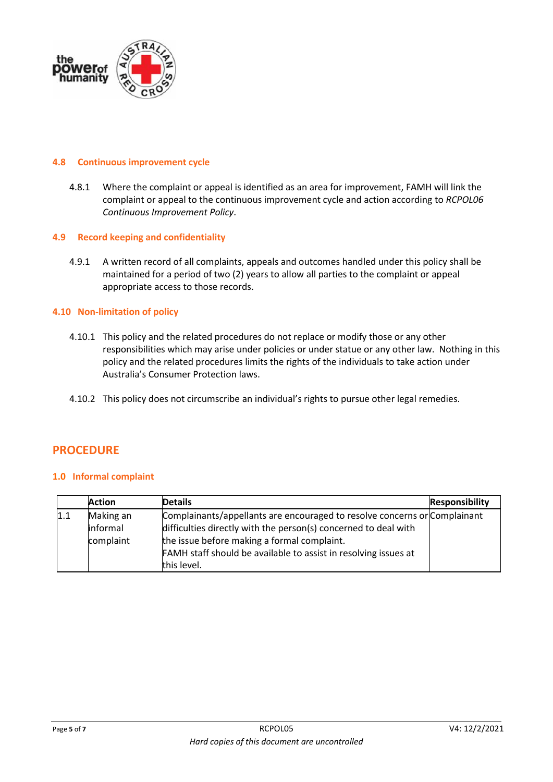

#### **4.8 Continuous improvement cycle**

4.8.1 Where the complaint or appeal is identified as an area for improvement, FAMH will link the complaint or appeal to the continuous improvement cycle and action according to *RCPOL06 Continuous Improvement Policy*.

#### **4.9 Record keeping and confidentiality**

4.9.1 A written record of all complaints, appeals and outcomes handled under this policy shall be maintained for a period of two (2) years to allow all parties to the complaint or appeal appropriate access to those records.

#### **4.10 Non-limitation of policy**

- 4.10.1 This policy and the related procedures do not replace or modify those or any other responsibilities which may arise under policies or under statue or any other law. Nothing in this policy and the related procedures limits the rights of the individuals to take action under Australia's Consumer Protection laws.
- 4.10.2 This policy does not circumscribe an individual's rights to pursue other legal remedies.

# **PROCEDURE**

#### **1.0 Informal complaint**

|     | <b>Action</b> | <b>Details</b>                                                            | <b>Responsibility</b> |
|-----|---------------|---------------------------------------------------------------------------|-----------------------|
| 1.1 | Making an     | Complainants/appellants are encouraged to resolve concerns or Complainant |                       |
|     | informal      | difficulties directly with the person(s) concerned to deal with           |                       |
|     | complaint     | the issue before making a formal complaint.                               |                       |
|     |               | FAMH staff should be available to assist in resolving issues at           |                       |
|     |               | this level.                                                               |                       |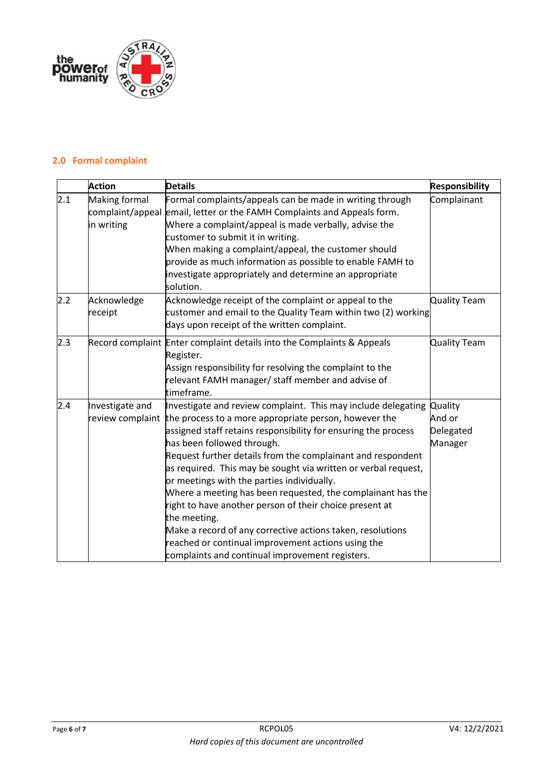

# **2.0 Formal complaint**

|     | <b>Action</b>                                   | <b>Details</b>                                                                                                                                                                                                                                                                                                                                                                                                                                                                                                                                                                                                                                                                                                         | <b>Responsibility</b>                     |
|-----|-------------------------------------------------|------------------------------------------------------------------------------------------------------------------------------------------------------------------------------------------------------------------------------------------------------------------------------------------------------------------------------------------------------------------------------------------------------------------------------------------------------------------------------------------------------------------------------------------------------------------------------------------------------------------------------------------------------------------------------------------------------------------------|-------------------------------------------|
| 2.1 | Making formal<br>complaint/appeal<br>in writing | Formal complaints/appeals can be made in writing through<br>email, letter or the FAMH Complaints and Appeals form.<br>Where a complaint/appeal is made verbally, advise the<br>customer to submit it in writing.<br>When making a complaint/appeal, the customer should<br>provide as much information as possible to enable FAMH to<br>investigate appropriately and determine an appropriate<br>solution.                                                                                                                                                                                                                                                                                                            | Complainant                               |
| 2.2 | Acknowledge<br>receipt                          | Acknowledge receipt of the complaint or appeal to the<br>customer and email to the Quality Team within two (2) working<br>days upon receipt of the written complaint.                                                                                                                                                                                                                                                                                                                                                                                                                                                                                                                                                  | <b>Quality Team</b>                       |
| 2.3 |                                                 | Record complaint Enter complaint details into the Complaints & Appeals<br>Register.<br>Assign responsibility for resolving the complaint to the<br>relevant FAMH manager/ staff member and advise of<br>timeframe.                                                                                                                                                                                                                                                                                                                                                                                                                                                                                                     | <b>Quality Team</b>                       |
| 2.4 | Investigate and<br>review complaint             | Investigate and review complaint. This may include delegating<br>the process to a more appropriate person, however the<br>assigned staff retains responsibility for ensuring the process<br>has been followed through.<br>Request further details from the complainant and respondent<br>as required. This may be sought via written or verbal request,<br>or meetings with the parties individually.<br>Where a meeting has been requested, the complainant has the<br>right to have another person of their choice present at<br>the meeting.<br>Make a record of any corrective actions taken, resolutions<br>reached or continual improvement actions using the<br>complaints and continual improvement registers. | Quality<br>And or<br>Delegated<br>Manager |